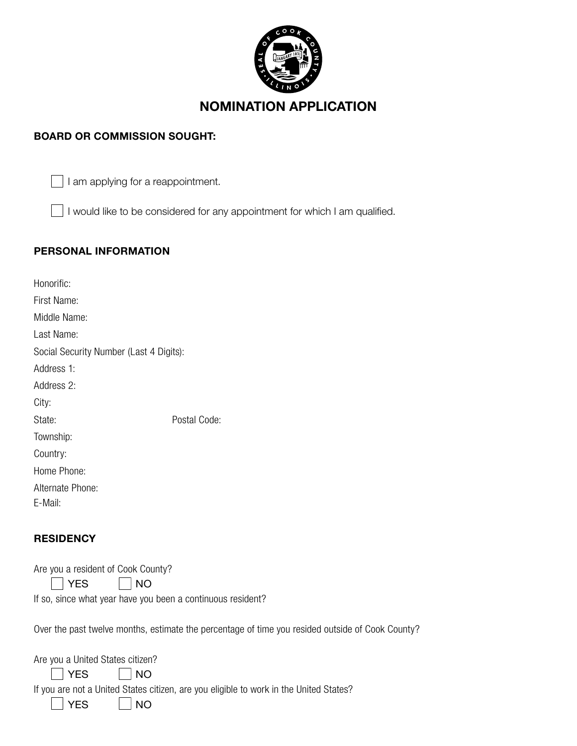

# NOMINATION APPLICATION

## BOARD OR COMMISSION SOUGHT:

 $\Box$  I am applying for a reappointment.

I would like to be considered for any appointment for which I am qualified.

## PERSONAL INFORMATION

| Honorific:                              |              |
|-----------------------------------------|--------------|
| First Name:                             |              |
| Middle Name:                            |              |
| Last Name:                              |              |
| Social Security Number (Last 4 Digits): |              |
| Address 1:                              |              |
| Address 2:                              |              |
| City:                                   |              |
| State:                                  | Postal Code: |
| Township:                               |              |
| Country:                                |              |
| Home Phone:                             |              |
| Alternate Phone:                        |              |

E-Mail:

## **RESIDENCY**

|  | Are you a resident of Cook County? |  |  |
|--|------------------------------------|--|--|
|  |                                    |  |  |

 $YES \tsqrt{NO}$ 

If so, since what year have you been a continuous resident?

Over the past twelve months, estimate the percentage of time you resided outside of Cook County?

| Are you a United States citizen? |                                                                                        |
|----------------------------------|----------------------------------------------------------------------------------------|
| $\vert$ $\vert$ YES $\Box$ NO    |                                                                                        |
|                                  | If you are not a United States citizen, are you eligible to work in the United States? |
| $ $ $ $ $YES$ $ $ $ $ $NO$       |                                                                                        |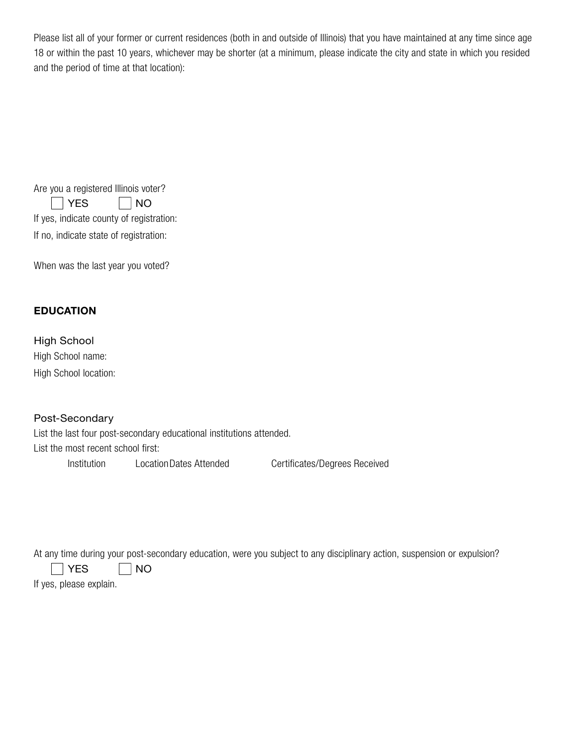Please list all of your former or current residences (both in and outside of Illinois) that you have maintained at any time since age 18 or within the past 10 years, whichever may be shorter (at a minimum, please indicate the city and state in which you resided and the period of time at that location):

| Are you a registered Illinois voter?     |                    |  |  |  |
|------------------------------------------|--------------------|--|--|--|
| YES                                      | $\vert$ $\vert$ NO |  |  |  |
| If yes, indicate county of registration: |                    |  |  |  |
| If no, indicate state of registration:   |                    |  |  |  |

When was the last year you voted?

### EDUCATION

High School High School name: High School location:

### Post-Secondary

List the last four post-secondary educational institutions attended. List the most recent school first:

Institution LocationDates Attended Certificates/Degrees Received

At any time during your post-secondary education, were you subject to any disciplinary action, suspension or expulsion?

 $\Box$  YES  $\Box$  NO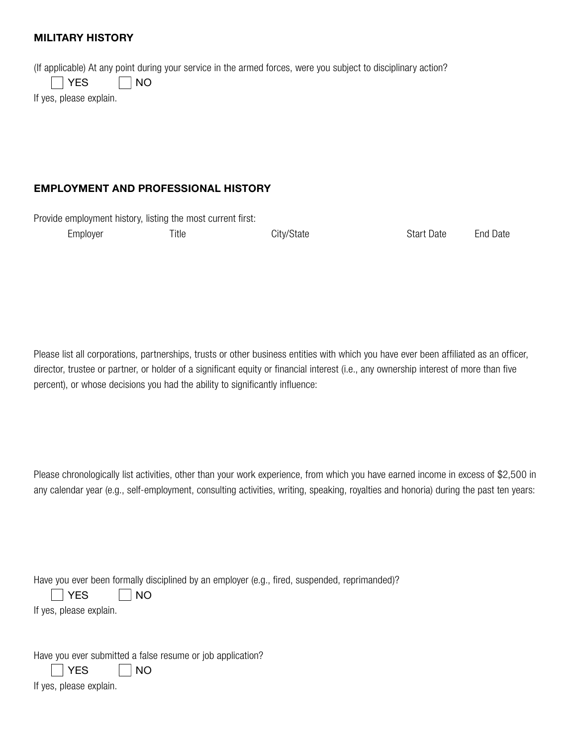### MILITARY HISTORY

(If applicable) At any point during your service in the armed forces, were you subject to disciplinary action?

 $YES \t No$ 

If yes, please explain.

### EMPLOYMENT AND PROFESSIONAL HISTORY

Provide employment history, listing the most current first:

| Employer | Title | City/State | <b>Start Date</b> | <b>End Date</b> |
|----------|-------|------------|-------------------|-----------------|
|          |       |            |                   |                 |

Please list all corporations, partnerships, trusts or other business entities with which you have ever been affiliated as an officer, director, trustee or partner, or holder of a significant equity or financial interest (i.e., any ownership interest of more than five percent), or whose decisions you had the ability to significantly influence:

Please chronologically list activities, other than your work experience, from which you have earned income in excess of \$2,500 in any calendar year (e.g., self-employment, consulting activities, writing, speaking, royalties and honoria) during the past ten years:

| Have you ever been formally disciplined by an employer (e.g., fired, suspended, reprimanded)? |  |  |  |  |
|-----------------------------------------------------------------------------------------------|--|--|--|--|
|                                                                                               |  |  |  |  |

YES | NO

If yes, please explain.

Have you ever submitted a false resume or job application?

YES | NO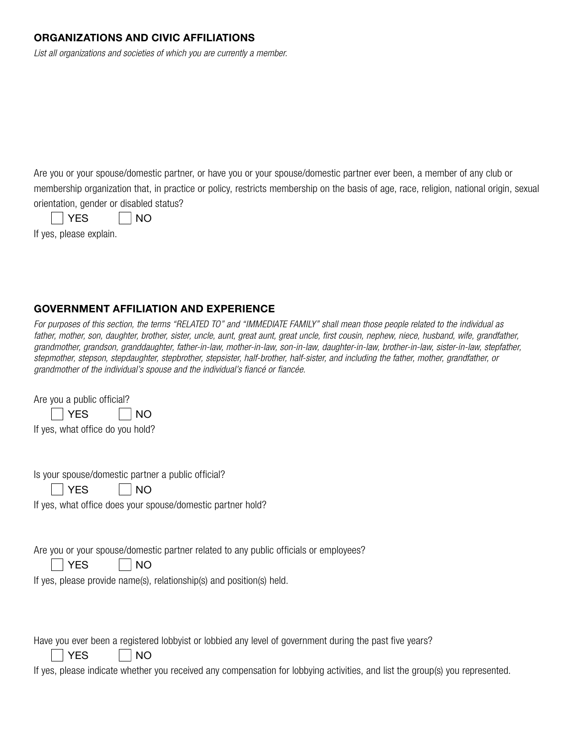### ORGANIZATIONS AND CIVIC AFFILIATIONS

*List all organizations and societies of which you are currently a member.*

Are you or your spouse/domestic partner, or have you or your spouse/domestic partner ever been, a member of any club or membership organization that, in practice or policy, restricts membership on the basis of age, race, religion, national origin, sexual orientation, gender or disabled status?

| v |  | NΟ |
|---|--|----|
|---|--|----|

If yes, please explain.

## GOVERNMENT AFFILIATION AND EXPERIENCE

*For purposes of this section, the terms "RELATED TO" and "IMMEDIATE FAMILY" shall mean those people related to the individual as father, mother, son, daughter, brother, sister, uncle, aunt, great aunt, great uncle, first cousin, nephew, niece, husband, wife, grandfather, grandmother, grandson, granddaughter, father-in-law, mother-in-law, son-in-law, daughter-in-law, brother-in-law, sister-in-law, stepfather, stepmother, stepson, stepdaughter, stepbrother, stepsister, half-brother, half-sister, and including the father, mother, grandfather, or grandmother of the individual's spouse and the individual's fiancé or fiancée.*

Are you a public official? YES | NO If yes, what office do you hold?

Is your spouse/domestic partner a public official?

|  | NΟ |
|--|----|
|--|----|

If yes, what office does your spouse/domestic partner hold?

Are you or your spouse/domestic partner related to any public officials or employees?

 $YES \t 700$ 

If yes, please provide name(s), relationship(s) and position(s) held.

Have you ever been a registered lobbyist or lobbied any level of government during the past five years?

YES | NO

If yes, please indicate whether you received any compensation for lobbying activities, and list the group(s) you represented.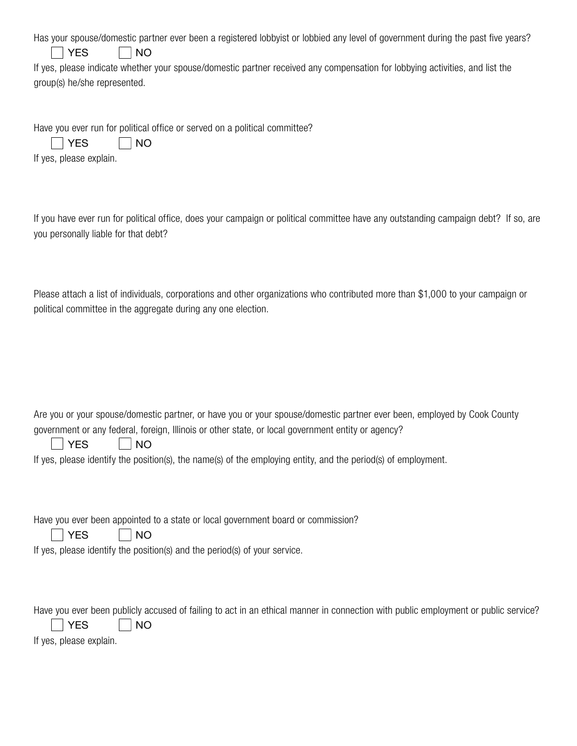| Has your spouse/domestic partner ever been a registered lobbyist or lobbied any level of government during the past five years? |  |  |  |
|---------------------------------------------------------------------------------------------------------------------------------|--|--|--|
|                                                                                                                                 |  |  |  |

| VL |  | NΟ |
|----|--|----|
|----|--|----|

If yes, please indicate whether your spouse/domestic partner received any compensation for lobbying activities, and list the group(s) he/she represented.

Have you ever run for political office or served on a political committee?

|     | ╮ |
|-----|---|
|     | - |
| . . | - |

If yes, please explain.

If you have ever run for political office, does your campaign or political committee have any outstanding campaign debt? If so, are you personally liable for that debt?

Please attach a list of individuals, corporations and other organizations who contributed more than \$1,000 to your campaign or political committee in the aggregate during any one election.

Are you or your spouse/domestic partner, or have you or your spouse/domestic partner ever been, employed by Cook County government or any federal, foreign, Illinois or other state, or local government entity or agency?

|  |  |  | NΟ |
|--|--|--|----|
|--|--|--|----|

If yes, please identify the position(s), the name(s) of the employing entity, and the period(s) of employment.

Have you ever been appointed to a state or local government board or commission?

|  | NΟ |
|--|----|
|--|----|

If yes, please identify the position(s) and the period(s) of your service.

Have you ever been publicly accused of failing to act in an ethical manner in connection with public employment or public service?

||YES ||NO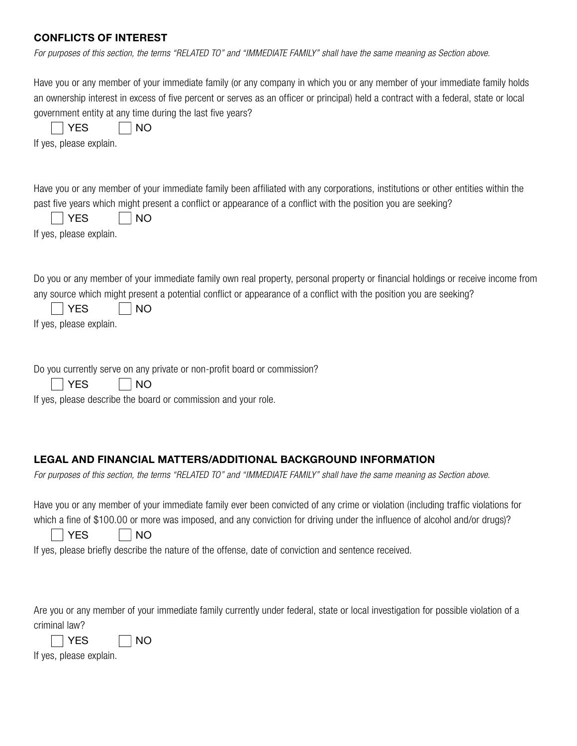## CONFLICTS OF INTEREST

|  |  | For purposes of this section, the terms "RELATED TO" and "IMMEDIATE FAMILY" shall have the same meaning as Section above. |
|--|--|---------------------------------------------------------------------------------------------------------------------------|
|--|--|---------------------------------------------------------------------------------------------------------------------------|

| Have you or any member of your immediate family (or any company in which you or any member of your immediate family holds<br>an ownership interest in excess of five percent or serves as an officer or principal) held a contract with a federal, state or local<br>government entity at any time during the last five years?<br><b>NO</b><br><b>YES</b><br>If yes, please explain.             |
|--------------------------------------------------------------------------------------------------------------------------------------------------------------------------------------------------------------------------------------------------------------------------------------------------------------------------------------------------------------------------------------------------|
| Have you or any member of your immediate family been affiliated with any corporations, institutions or other entities within the<br>past five years which might present a conflict or appearance of a conflict with the position you are seeking?<br><b>NO</b><br><b>YES</b><br>If yes, please explain.                                                                                          |
| Do you or any member of your immediate family own real property, personal property or financial holdings or receive income from<br>any source which might present a potential conflict or appearance of a conflict with the position you are seeking?<br><b>NO</b><br><b>YES</b><br>If yes, please explain.                                                                                      |
| Do you currently serve on any private or non-profit board or commission?<br><b>NO</b><br><b>YES</b><br>If yes, please describe the board or commission and your role.                                                                                                                                                                                                                            |
|                                                                                                                                                                                                                                                                                                                                                                                                  |
| LEGAL AND FINANCIAL MATTERS/ADDITIONAL BACKGROUND INFORMATION<br>For purposes of this section, the terms "RELATED TO" and "IMMEDIATE FAMILY" shall have the same meaning as Section above.                                                                                                                                                                                                       |
| Have you or any member of your immediate family ever been convicted of any crime or violation (including traffic violations for<br>which a fine of \$100.00 or more was imposed, and any conviction for driving under the influence of alcohol and/or drugs)?<br><b>YES</b><br><b>NO</b><br>If yes, please briefly describe the nature of the offense, date of conviction and sentence received. |
| Are you or any member of your immediate family currently under federal, state or local investigation for possible violation of a<br>criminal law?                                                                                                                                                                                                                                                |

| ╮<br>٠ |
|--------|
|--------|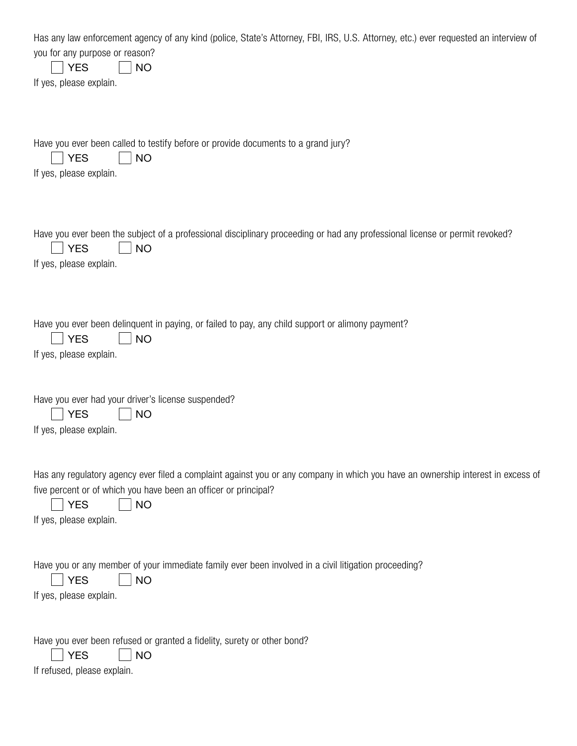| Has any law enforcement agency of any kind (police, State's Attorney, FBI, IRS, U.S. Attorney, etc.) ever requested an interview of<br>you for any purpose or reason?<br><b>YES</b><br><b>NO</b><br>If yes, please explain.                               |
|-----------------------------------------------------------------------------------------------------------------------------------------------------------------------------------------------------------------------------------------------------------|
| Have you ever been called to testify before or provide documents to a grand jury?<br><b>YES</b><br><b>NO</b><br>If yes, please explain.                                                                                                                   |
| Have you ever been the subject of a professional disciplinary proceeding or had any professional license or permit revoked?<br><b>YES</b><br><b>NO</b><br>If yes, please explain.                                                                         |
| Have you ever been delinquent in paying, or failed to pay, any child support or alimony payment?<br><b>YES</b><br><b>NO</b><br>If yes, please explain.                                                                                                    |
| Have you ever had your driver's license suspended?<br><b>YES</b><br><b>NO</b><br>If yes, please explain.                                                                                                                                                  |
| Has any regulatory agency ever filed a complaint against you or any company in which you have an ownership interest in excess of<br>five percent or of which you have been an officer or principal?<br><b>YES</b><br><b>NO</b><br>If yes, please explain. |
| Have you or any member of your immediate family ever been involved in a civil litigation proceeding?<br><b>YES</b><br><b>NO</b><br>If yes, please explain.                                                                                                |
| Have you ever been refused or granted a fidelity, surety or other bond?<br><b>YES</b><br><b>NO</b><br>If refused, please explain.                                                                                                                         |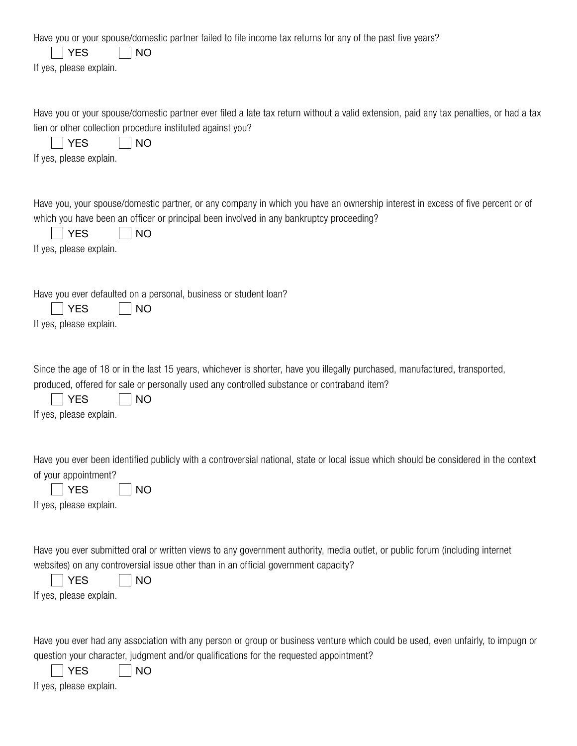| Have you or your spouse/domestic partner failed to file income tax returns for any of the past five years?<br><b>YES</b><br><b>NO</b><br>If yes, please explain.                                                                                                                |
|---------------------------------------------------------------------------------------------------------------------------------------------------------------------------------------------------------------------------------------------------------------------------------|
| Have you or your spouse/domestic partner ever filed a late tax return without a valid extension, paid any tax penalties, or had a tax<br>lien or other collection procedure instituted against you?<br><b>YES</b><br><b>NO</b><br>If yes, please explain.                       |
| Have you, your spouse/domestic partner, or any company in which you have an ownership interest in excess of five percent or of<br>which you have been an officer or principal been involved in any bankruptcy proceeding?<br><b>YES</b><br><b>NO</b><br>If yes, please explain. |
| Have you ever defaulted on a personal, business or student loan?<br><b>YES</b><br><b>NO</b><br>If yes, please explain.                                                                                                                                                          |
| Since the age of 18 or in the last 15 years, whichever is shorter, have you illegally purchased, manufactured, transported,<br>produced, offered for sale or personally used any controlled substance or contraband item?<br><b>YES</b><br><b>NO</b><br>If yes, please explain. |
| Have you ever been identified publicly with a controversial national, state or local issue which should be considered in the context<br>of your appointment?<br><b>YES</b><br><b>NO</b><br>If yes, please explain.                                                              |
| Have you ever submitted oral or written views to any government authority, media outlet, or public forum (including internet<br>websites) on any controversial issue other than in an official government capacity?<br><b>YES</b><br><b>NO</b><br>If yes, please explain.       |
| Have you ever had any association with any person or group or business venture which could be used, even unfairly, to impugn or<br>question your character, judgment and/or qualifications for the requested appointment?<br><b>YES</b><br><b>NO</b>                            |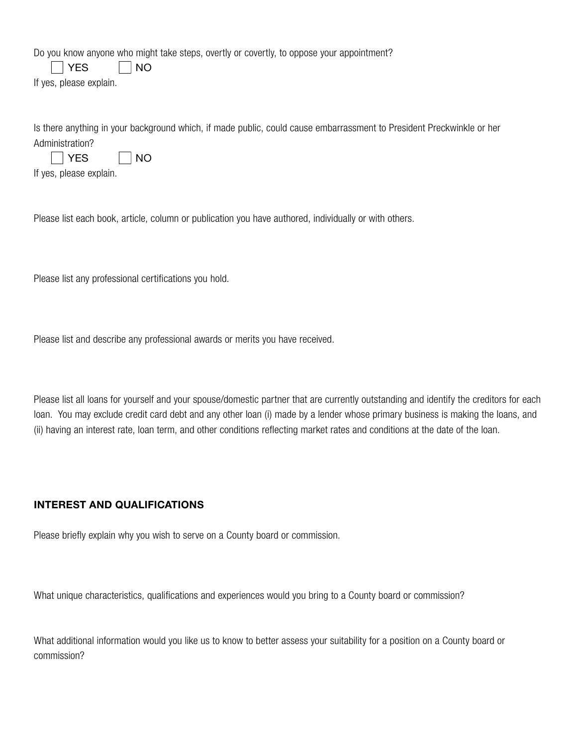Do you know anyone who might take steps, overtly or covertly, to oppose your appointment?

 $\neg$  YES  $\neg$  NO

If yes, please explain.

Is there anything in your background which, if made public, could cause embarrassment to President Preckwinkle or her Administration?

| $\sim$ |  | - |
|--------|--|---|
|--------|--|---|

If yes, please explain.

Please list each book, article, column or publication you have authored, individually or with others.

Please list any professional certifications you hold.

Please list and describe any professional awards or merits you have received.

Please list all loans for yourself and your spouse/domestic partner that are currently outstanding and identify the creditors for each loan. You may exclude credit card debt and any other loan (i) made by a lender whose primary business is making the loans, and (ii) having an interest rate, loan term, and other conditions reflecting market rates and conditions at the date of the loan.

### INTEREST AND QUALIFICATIONS

Please briefly explain why you wish to serve on a County board or commission.

What unique characteristics, qualifications and experiences would you bring to a County board or commission?

What additional information would you like us to know to better assess your suitability for a position on a County board or commission?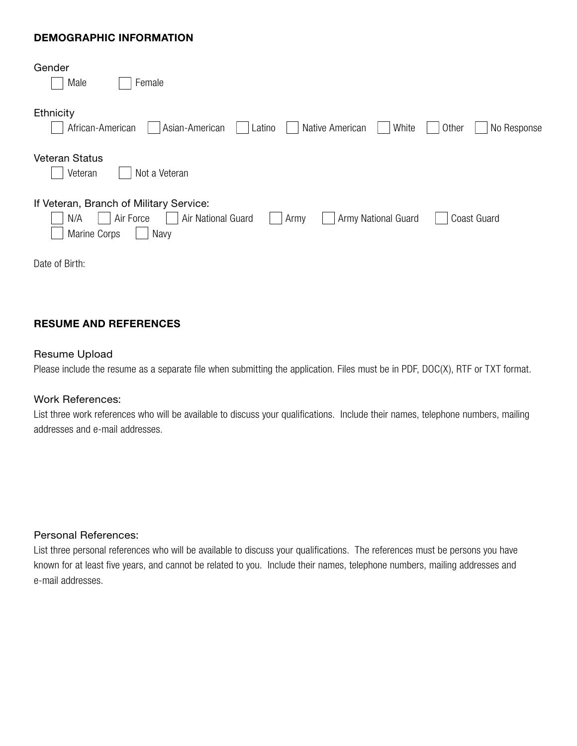### DEMOGRAPHIC INFORMATION

| Gender                                                                                           |
|--------------------------------------------------------------------------------------------------|
| Male<br>Female                                                                                   |
| Ethnicity                                                                                        |
| Asian-American<br>Native American<br>African-American<br>Other<br>No Response<br>Latino<br>White |
| <b>Veteran Status</b>                                                                            |
| Not a Veteran<br>Veteran                                                                         |
| If Veteran, Branch of Military Service:                                                          |
| Air Force<br>Air National Guard<br>Army National Guard<br>Coast Guard<br>N/A<br>Army             |
| Marine Corps<br>Navy                                                                             |
| Date of Birth:                                                                                   |

### RESUME AND REFERENCES

#### Resume Upload

Please include the resume as a separate file when submitting the application. Files must be in PDF, DOC(X), RTF or TXT format.

#### Work References:

List three work references who will be available to discuss your qualifications. Include their names, telephone numbers, mailing addresses and e-mail addresses.

#### Personal References:

List three personal references who will be available to discuss your qualifications. The references must be persons you have known for at least five years, and cannot be related to you. Include their names, telephone numbers, mailing addresses and e-mail addresses.